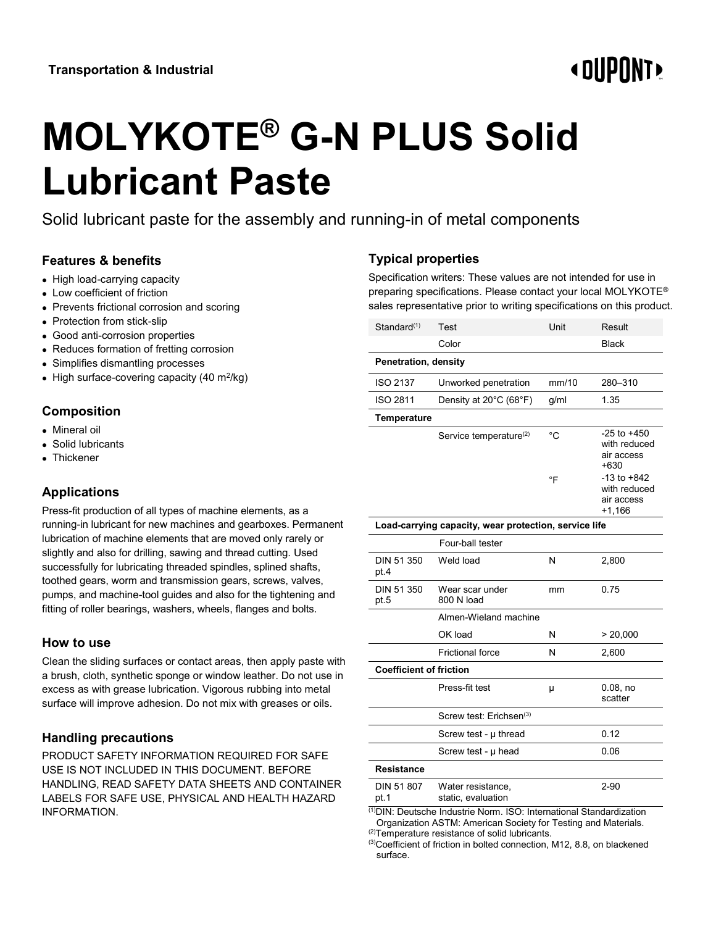# **« OUPONT**

# **MOLYKOTE® G-N PLUS Solid Lubricant Paste**

Solid lubricant paste for the assembly and running-in of metal components

## **Features & benefits**

- High load-carrying capacity
- Low coefficient of friction
- Prevents frictional corrosion and scoring
- Protection from stick-slip
- Good anti-corrosion properties
- Reduces formation of fretting corrosion
- Simplifies dismantling processes
- High surface-covering capacity (40 m<sup>2</sup>/kg)

#### **Composition**

- Mineral oil
- Solid lubricants
- Thickener

## **Applications**

Press-fit production of all types of machine elements, as a running-in lubricant for new machines and gearboxes. Permanent lubrication of machine elements that are moved only rarely or slightly and also for drilling, sawing and thread cutting. Used successfully for lubricating threaded spindles, splined shafts, toothed gears, worm and transmission gears, screws, valves, pumps, and machine-tool guides and also for the tightening and fitting of roller bearings, washers, wheels, flanges and bolts.

#### **How to use**

Clean the sliding surfaces or contact areas, then apply paste with a brush, cloth, synthetic sponge or window leather. Do not use in excess as with grease lubrication. Vigorous rubbing into metal surface will improve adhesion. Do not mix with greases or oils.

#### **Handling precautions**

PRODUCT SAFETY INFORMATION REQUIRED FOR SAFE USE IS NOT INCLUDED IN THIS DOCUMENT. BEFORE HANDLING, READ SAFETY DATA SHEETS AND CONTAINER LABELS FOR SAFE USE, PHYSICAL AND HEALTH HAZARD INFORMATION.

# **Typical properties**

Specification writers: These values are not intended for use in preparing specifications. Please contact your local MOLYKOTE® sales representative prior to writing specifications on this product.

| Standard <sup>(1)</sup>                                                                                                                      | Test                                    | Unit  | Result                                                    |
|----------------------------------------------------------------------------------------------------------------------------------------------|-----------------------------------------|-------|-----------------------------------------------------------|
|                                                                                                                                              | Color                                   |       | <b>Black</b>                                              |
| Penetration, density                                                                                                                         |                                         |       |                                                           |
| <b>ISO 2137</b>                                                                                                                              | Unworked penetration                    | mm/10 | 280-310                                                   |
| ISO 2811                                                                                                                                     | Density at 20°C (68°F)                  | g/ml  | 1.35                                                      |
| <b>Temperature</b>                                                                                                                           |                                         |       |                                                           |
|                                                                                                                                              | Service temperature <sup>(2)</sup>      | °C    | $-25$ to $+450$<br>with reduced<br>air access<br>$+630$   |
|                                                                                                                                              |                                         | °F    | $-13$ to $+842$<br>with reduced<br>air access<br>$+1,166$ |
| Load-carrying capacity, wear protection, service life                                                                                        |                                         |       |                                                           |
|                                                                                                                                              | Four-ball tester                        |       |                                                           |
| DIN 51 350<br>pt.4                                                                                                                           | Weld load                               | N     | 2,800                                                     |
| DIN 51 350<br>pt.5                                                                                                                           | Wear scar under<br>800 N load           | mm    | 0.75                                                      |
|                                                                                                                                              | Almen-Wieland machine                   |       |                                                           |
|                                                                                                                                              | OK load                                 | N     | > 20,000                                                  |
|                                                                                                                                              | <b>Frictional force</b>                 | N     | 2,600                                                     |
| <b>Coefficient of friction</b>                                                                                                               |                                         |       |                                                           |
|                                                                                                                                              | Press-fit test                          | μ     | $0.08$ , no<br>scatter                                    |
|                                                                                                                                              | Screw test: Erichsen <sup>(3)</sup>     |       |                                                           |
|                                                                                                                                              | Screw test - $\mu$ thread               |       | 0.12                                                      |
|                                                                                                                                              | Screw test - µ head                     |       | 0.06                                                      |
| Resistance                                                                                                                                   |                                         |       |                                                           |
| DIN 51 807<br>pt.1                                                                                                                           | Water resistance,<br>static, evaluation |       | $2 - 90$                                                  |
| <sup>(1)</sup> DIN: Deutsche Industrie Norm. ISO: International Standardization<br>prinction ACTM: American Coojety for Teating and Meterial |                                         |       |                                                           |

 Organization ASTM: American Society for Testing and Materials. (2)Temperature resistance of solid lubricants.

<sup>(3)</sup>Coefficient of friction in bolted connection, M12, 8.8, on blackened surface.